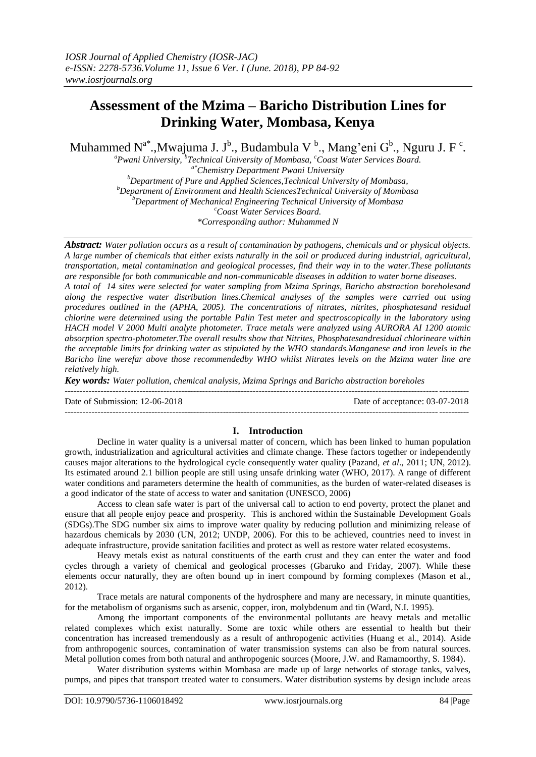# **Assessment of the Mzima – Baricho Distribution Lines for Drinking Water, Mombasa, Kenya**

Muhammed N<sup>a\*</sup>.,Mwajuma J. J<sup>b</sup>., Budambula V<sup>b</sup>., Mang'eni G<sup>b</sup>., Nguru J. F<sup>c</sup>.

*<sup>a</sup>Pwani University, <sup>b</sup> Technical University of Mombasa, <sup>c</sup>Coast Water Services Board. a\*Chemistry Department Pwani University <sup>b</sup>Department of Pure and Applied Sciences,Technical University of Mombasa, <sup>b</sup>Department of Environment and Health SciencesTechnical University of Mombasa <sup>b</sup>Department of Mechanical Engineering Technical University of Mombasa <sup>c</sup>Coast Water Services Board.*

*\*Corresponding author: Muhammed N*

*Abstract: Water pollution occurs as a result of contamination by pathogens, chemicals and or physical objects. A large number of chemicals that either exists naturally in the soil or produced during industrial, agricultural, transportation, metal contamination and geological processes, find their way in to the water.These pollutants are responsible for both communicable and non-communicable diseases in addition to water borne diseases. A total of 14 sites were selected for water sampling from Mzima Springs, Baricho abstraction boreholesand along the respective water distribution lines.Chemical analyses of the samples were carried out using procedures outlined in the (APHA, 2005). The concentrations of nitrates, nitrites, phosphatesand residual chlorine were determined using the portable Palin Test meter and spectroscopically in the laboratory using HACH model V 2000 Multi analyte photometer. Trace metals were analyzed using AURORA AI 1200 atomic absorption spectro-photometer.The overall results show that Nitrites, Phosphatesandresidual chlorineare within the acceptable limits for drinking water as stipulated by the WHO standards.Manganese and iron levels in the Baricho line werefar above those recommendedby WHO whilst Nitrates levels on the Mzima water line are relatively high.*

*Key words: Water pollution, chemical analysis, Mzima Springs and Baricho abstraction boreholes* 

Date of Submission: 12-06-2018 Date of acceptance: 03-07-2018 ---------------------------------------------------------------------------------------------------------------------------------------

## **I. Introduction**

---------------------------------------------------------------------------------------------------------------------------------------

Decline in water quality is a universal matter of concern, which has been linked to human population growth, industrialization and agricultural activities and climate change. These factors together or independently causes major alterations to the hydrological cycle consequently water quality (Pazand, *et al*., 2011; UN, 2012). Its estimated around 2.1 billion people are still using unsafe drinking water (WHO, 2017). A range of different water conditions and parameters determine the health of communities, as the burden of water-related diseases is a good indicator of the state of access to water and sanitation (UNESCO, 2006)

Access to clean safe water is part of the universal call to action to end poverty, protect the planet and ensure that all people enjoy peace and prosperity. This is anchored within the Sustainable Development Goals (SDGs).The SDG number six aims to improve water quality by reducing pollution and minimizing release of hazardous chemicals by 2030 (UN, 2012; UNDP, 2006). For this to be achieved, countries need to invest in adequate infrastructure, provide sanitation facilities and protect as well as restore water related ecosystems.

Heavy metals exist as natural constituents of the earth crust and they can enter the water and food cycles through a variety of chemical and geological processes (Gbaruko and Friday, 2007). While these elements occur naturally, they are often bound up in inert compound by forming complexes (Mason et al., 2012).

Trace metals are natural components of the hydrosphere and many are necessary, in minute quantities, for the metabolism of organisms such as arsenic, copper, iron, molybdenum and tin (Ward, N.I. 1995).

Among the important components of the environmental pollutants are heavy metals and metallic related complexes which exist naturally. Some are toxic while others are essential to health but their concentration has increased tremendously as a result of anthropogenic activities (Huang et al., 2014). Aside from anthropogenic sources, contamination of water transmission systems can also be from natural sources. Metal pollution comes from both natural and anthropogenic sources (Moore, J.W. and Ramamoorthy, S. 1984).

Water distribution systems within Mombasa are made up of large networks of storage tanks, valves, pumps, and pipes that transport treated water to consumers. Water distribution systems by design include areas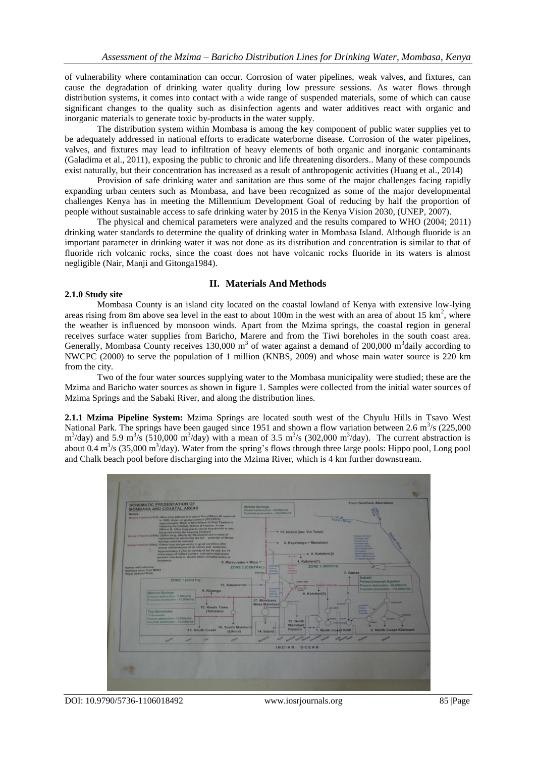of vulnerability where contamination can occur. Corrosion of water pipelines, weak valves, and fixtures, can cause the degradation of drinking water quality during low pressure sessions. As water flows through distribution systems, it comes into contact with a wide range of suspended materials, some of which can cause significant changes to the quality such as disinfection agents and water additives react with organic and inorganic materials to generate toxic by-products in the water supply.

The distribution system within Mombasa is among the key component of public water supplies yet to be adequately addressed in national efforts to eradicate waterborne disease. Corrosion of the water pipelines, valves, and fixtures may lead to infiltration of heavy elements of both organic and inorganic contaminants (Galadima et al., 2011), exposing the public to chronic and life threatening disorders.. Many of these compounds exist naturally, but their concentration has increased as a result of anthropogenic activities (Huang et al., 2014)

Provision of safe drinking water and sanitation are thus some of the major challenges facing rapidly expanding urban centers such as Mombasa, and have been recognized as some of the major developmental challenges Kenya has in meeting the Millennium Development Goal of reducing by half the proportion of people without sustainable access to safe drinking water by 2015 in the Kenya Vision 2030, (UNEP, 2007).

The physical and chemical parameters were analyzed and the results compared to WHO (2004; 2011) drinking water standards to determine the quality of drinking water in Mombasa Island. Although fluoride is an important parameter in drinking water it was not done as its distribution and concentration is similar to that of fluoride rich volcanic rocks, since the coast does not have volcanic rocks fluoride in its waters is almost negligible (Nair, Manji and Gitonga1984).

## **II. Materials And Methods**

#### **2.1.0 Study site**

Mombasa County is an island city located on the coastal lowland of Kenya with extensive low-lying areas rising from 8m above sea level in the east to about 100m in the west with an area of about 15  $\text{km}^2$ , where the weather is influenced by monsoon winds. Apart from the Mzima springs, the coastal region in general receives surface water supplies from Baricho, Marere and from the Tiwi boreholes in the south coast area. Generally, Mombasa County receives  $130,000 \text{ m}^3$  of water against a demand of 200,000 m<sup>3</sup>daily according to NWCPC (2000) to serve the population of 1 million (KNBS, 2009) and whose main water source is 220 km from the city.

Two of the four water sources supplying water to the Mombasa municipality were studied; these are the Mzima and Baricho water sources as shown in figure 1. Samples were collected from the initial water sources of Mzima Springs and the Sabaki River, and along the distribution lines.

**2.1.1 Mzima Pipeline System:** Mzima Springs are located south west of the Chyulu Hills in Tsavo West National Park. The springs have been gauged since 1951 and shown a flow variation between 2.6 m<sup>3</sup>/s (225,000)  $\text{m}^3/\text{day}$ ) and 5.9 m<sup>3</sup>/s (510,000 m<sup>3</sup>/day) with a mean of 3.5 m<sup>3</sup>/s (302,000 m<sup>3</sup>/day). The current abstraction is about  $0.4 \text{ m}^3/\text{s}$  (35,000 m<sup>3</sup>/day). Water from the spring's flows through three large pools: Hippo pool, Long pool and Chalk beach pool before discharging into the Mzima River, which is 4 km further downstream.



DOI: 10.9790/5736-1106018492 www.iosrjournals.org 85 |Page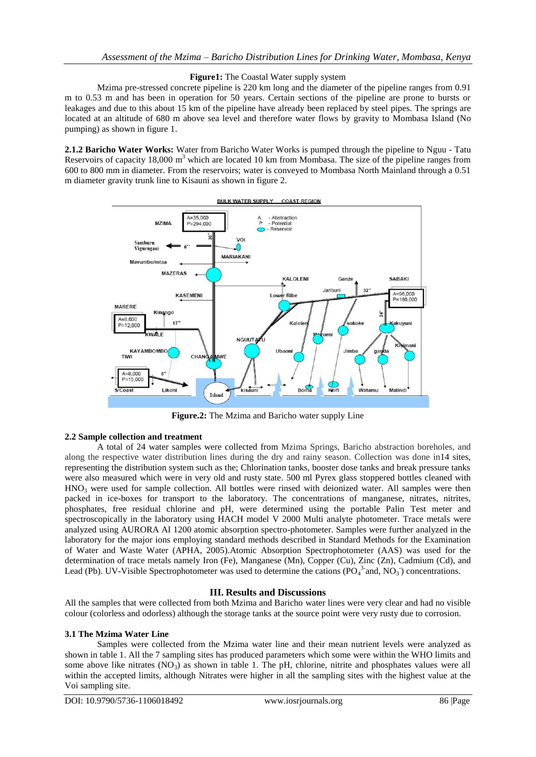## **Figure1:** The Coastal Water supply system

Mzima pre-stressed concrete pipeline is 220 km long and the diameter of the pipeline ranges from 0.91 m to 0.53 m and has been in operation for 50 years. Certain sections of the pipeline are prone to bursts or leakages and due to this about 15 km of the pipeline have already been replaced by steel pipes. The springs are located at an altitude of 680 m above sea level and therefore water flows by gravity to Mombasa Island (No pumping) as shown in figure 1.

**2.1.2 Baricho Water Works:** Water from Baricho Water Works is pumped through the pipeline to Nguu - Tatu Reservoirs of capacity 18,000 m<sup>3</sup> which are located 10 km from Mombasa. The size of the pipeline ranges from 600 to 800 mm in diameter. From the reservoirs; water is conveyed to Mombasa North Mainland through a 0.51 m diameter gravity trunk line to Kisauni as shown in figure 2.



**Figure.2:** The Mzima and Baricho water supply Line

## **2.2 Sample collection and treatment**

A total of 24 water samples were collected from Mzima Springs, Baricho abstraction boreholes, and along the respective water distribution lines during the dry and rainy season. Collection was done in14 sites, representing the distribution system such as the; Chlorination tanks, booster dose tanks and break pressure tanks were also measured which were in very old and rusty state. 500 ml Pyrex glass stoppered bottles cleaned with  $HNO<sub>3</sub>$  were used for sample collection. All bottles were rinsed with deionized water. All samples were then packed in ice-boxes for transport to the laboratory. The concentrations of manganese, nitrates, nitrites, phosphates, free residual chlorine and pH, were determined using the portable Palin Test meter and spectroscopically in the laboratory using HACH model V 2000 Multi analyte photometer. Trace metals were analyzed using AURORA AI 1200 atomic absorption spectro-photometer. Samples were further analyzed in the laboratory for the major ions employing standard methods described in Standard Methods for the Examination of Water and Waste Water (APHA, 2005).Atomic Absorption Spectrophotometer (AAS) was used for the determination of trace metals namely Iron (Fe), Manganese (Mn), Copper (Cu), Zinc (Zn), Cadmium (Cd), and Lead (Pb). UV-Visible Spectrophotometer was used to determine the cations ( $PO<sub>4</sub><sup>3</sup>$  and,  $NO<sub>3</sub>$ ) concentrations.

## **III. Results and Discussions**

All the samples that were collected from both Mzima and Baricho water lines were very clear and had no visible colour (colorless and odorless) although the storage tanks at the source point were very rusty due to corrosion.

### **3.1 The Mzima Water Line**

Samples were collected from the Mzima water line and their mean nutrient levels were analyzed as shown in table 1. All the 7 sampling sites has produced parameters which some were within the WHO limits and some above like nitrates  $(NO_3)$  as shown in table 1. The pH, chlorine, nitrite and phosphates values were all within the accepted limits, although Nitrates were higher in all the sampling sites with the highest value at the Voi sampling site.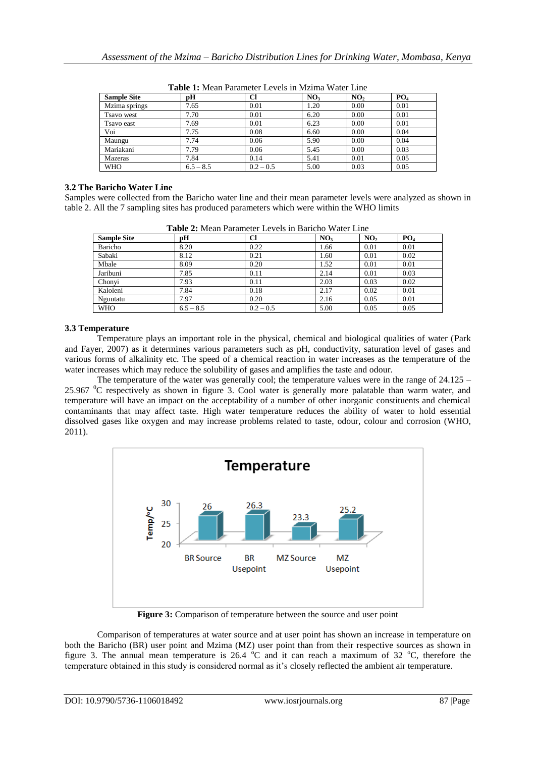| <b>Sample Site</b> | рH          | Cl          | NO <sub>3</sub> | NO <sub>2</sub> | PO <sub>4</sub> |
|--------------------|-------------|-------------|-----------------|-----------------|-----------------|
| Mzima springs      | 7.65        | 0.01        | 1.20            | 0.00            | 0.01            |
| <b>Tsavo</b> west  | 7.70        | 0.01        | 6.20            | 0.00            | 0.01            |
| Tsavo east         | 7.69        | 0.01        | 6.23            | 0.00            | 0.01            |
| Voi                | 7.75        | 0.08        | 6.60            | 0.00            | 0.04            |
| Maungu             | 7.74        | 0.06        | 5.90            | 0.00            | 0.04            |
| Mariakani          | 7.79        | 0.06        | 5.45            | 0.00            | 0.03            |
| Mazeras            | 7.84        | 0.14        | 5.41            | 0.01            | 0.05            |
| <b>WHO</b>         | $6.5 - 8.5$ | $0.2 - 0.5$ | 5.00            | 0.03            | 0.05            |

**Table 1:** Mean Parameter Levels in Mzima Water Line

## **3.2 The Baricho Water Line**

Samples were collected from the Baricho water line and their mean parameter levels were analyzed as shown in table 2. All the 7 sampling sites has produced parameters which were within the WHO limits

| <b>Table 2.</b> Mean't alameter Levels in Darlette Water Line |             |             |                 |                 |                 |  |  |  |
|---------------------------------------------------------------|-------------|-------------|-----------------|-----------------|-----------------|--|--|--|
| <b>Sample Site</b>                                            | рH          | Cl          | NO <sub>3</sub> | NO <sub>2</sub> | PO <sub>4</sub> |  |  |  |
| Baricho                                                       | 8.20        | 0.22        | 1.66            | 0.01            | 0.01            |  |  |  |
| Sabaki                                                        | 8.12        | 0.21        | 1.60            | 0.01            | 0.02            |  |  |  |
| Mbale                                                         | 8.09        | 0.20        | 1.52            | 0.01            | 0.01            |  |  |  |
| Jaribuni                                                      | 7.85        | 0.11        | 2.14            | 0.01            | 0.03            |  |  |  |
| Chonyi                                                        | 7.93        | 0.11        | 2.03            | 0.03            | 0.02            |  |  |  |
| Kaloleni                                                      | 7.84        | 0.18        | 2.17            | 0.02            | 0.01            |  |  |  |
| Nguutatu                                                      | 7.97        | 0.20        | 2.16            | 0.05            | 0.01            |  |  |  |
| <b>WHO</b>                                                    | $6.5 - 8.5$ | $0.2 - 0.5$ | 5.00            | 0.05            | 0.05            |  |  |  |

**Table 2:** Mean Parameter Levels in Baricho Water Line

## **3.3 Temperature**

Temperature plays an important role in the physical, chemical and biological qualities of water (Park and Fayer, 2007) as it determines various parameters such as pH, conductivity, saturation level of gases and various forms of alkalinity etc. The speed of a chemical reaction in water increases as the temperature of the water increases which may reduce the solubility of gases and amplifies the taste and odour.

The temperature of the water was generally cool; the temperature values were in the range of  $24.125 -$ 25.967 <sup>o</sup>C respectively as shown in figure 3. Cool water is generally more palatable than warm water, and temperature will have an impact on the acceptability of a number of other inorganic constituents and chemical contaminants that may affect taste. High water temperature reduces the ability of water to hold essential dissolved gases like oxygen and may increase problems related to taste, odour, colour and corrosion (WHO, 2011).



**Figure 3:** Comparison of temperature between the source and user point

Comparison of temperatures at water source and at user point has shown an increase in temperature on both the Baricho (BR) user point and Mzima (MZ) user point than from their respective sources as shown in figure 3. The annual mean temperature is  $26.4 \text{ °C}$  and it can reach a maximum of 32  $\text{ °C}$ , therefore the temperature obtained in this study is considered normal as it's closely reflected the ambient air temperature.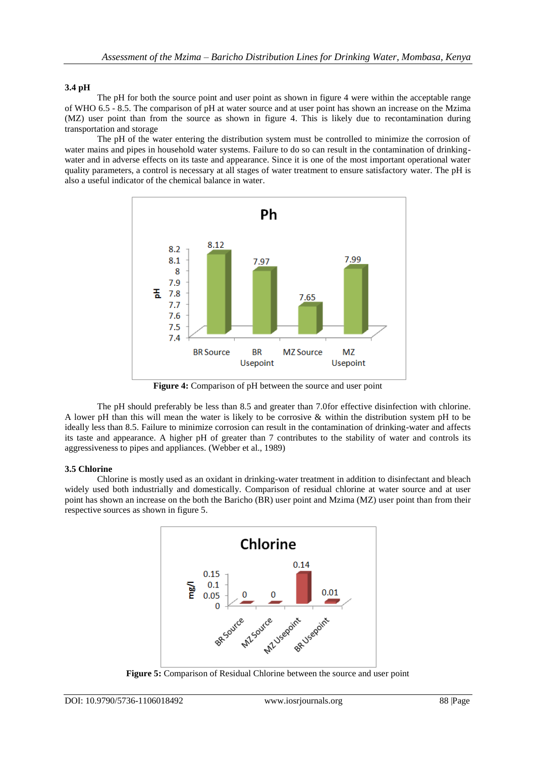# **3.4 pH**

The pH for both the source point and user point as shown in figure 4 were within the acceptable range of WHO 6.5 - 8.5. The comparison of pH at water source and at user point has shown an increase on the Mzima (MZ) user point than from the source as shown in figure 4. This is likely due to recontamination during transportation and storage

The pH of the water entering the distribution system must be controlled to minimize the corrosion of water mains and pipes in household water systems. Failure to do so can result in the contamination of drinkingwater and in adverse effects on its taste and appearance. Since it is one of the most important operational water quality parameters, a control is necessary at all stages of water treatment to ensure satisfactory water. The pH is also a useful indicator of the chemical balance in water.



Figure 4: Comparison of pH between the source and user point

The pH should preferably be less than 8.5 and greater than 7.0for effective disinfection with chlorine. A lower pH than this will mean the water is likely to be corrosive & within the distribution system pH to be ideally less than 8.5. Failure to minimize corrosion can result in the contamination of drinking-water and affects its taste and appearance. A higher pH of greater than 7 contributes to the stability of water and controls its aggressiveness to pipes and appliances. (Webber et al., 1989)

## **3.5 Chlorine**

Chlorine is mostly used as an oxidant in drinking-water treatment in addition to disinfectant and bleach widely used both industrially and domestically. Comparison of residual chlorine at water source and at user point has shown an increase on the both the Baricho (BR) user point and Mzima (MZ) user point than from their respective sources as shown in figure 5.



**Figure 5:** Comparison of Residual Chlorine between the source and user point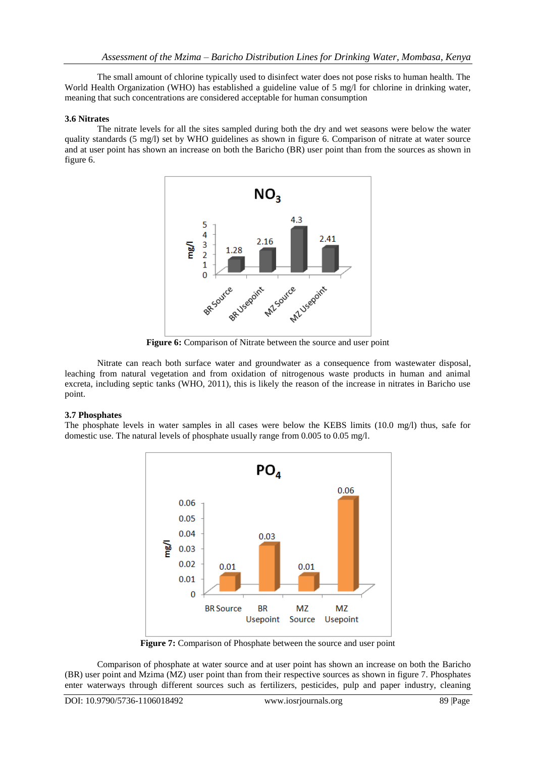The small amount of chlorine typically used to disinfect water does not pose risks to human health. The World Health Organization (WHO) has established a guideline value of 5 mg/l for chlorine in drinking water, meaning that such concentrations are considered acceptable for human consumption

## **3.6 Nitrates**

The nitrate levels for all the sites sampled during both the dry and wet seasons were below the water quality standards (5 mg/l) set by WHO guidelines as shown in figure 6. Comparison of nitrate at water source and at user point has shown an increase on both the Baricho (BR) user point than from the sources as shown in figure 6.



Figure 6: Comparison of Nitrate between the source and user point

Nitrate can reach both surface water and groundwater as a consequence from wastewater disposal, leaching from natural vegetation and from oxidation of nitrogenous waste products in human and animal excreta, including septic tanks (WHO, 2011), this is likely the reason of the increase in nitrates in Baricho use point.

### **3.7 Phosphates**

The phosphate levels in water samples in all cases were below the KEBS limits (10.0 mg/l) thus, safe for domestic use. The natural levels of phosphate usually range from 0.005 to 0.05 mg/l.



**Figure 7:** Comparison of Phosphate between the source and user point

Comparison of phosphate at water source and at user point has shown an increase on both the Baricho (BR) user point and Mzima (MZ) user point than from their respective sources as shown in figure 7. Phosphates enter waterways through different sources such as fertilizers, pesticides, pulp and paper industry, cleaning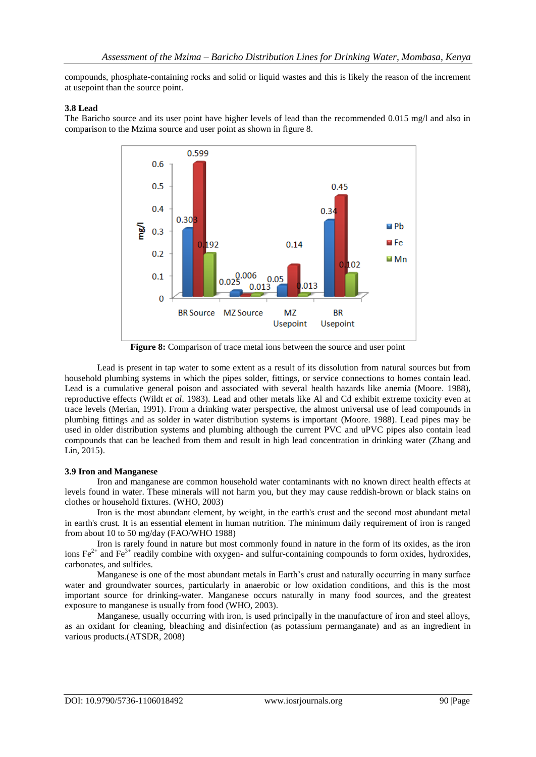compounds, phosphate-containing rocks and solid or liquid wastes and this is likely the reason of the increment at usepoint than the source point.

### **3.8 Lead**

The Baricho source and its user point have higher levels of lead than the recommended 0.015 mg/l and also in comparison to the Mzima source and user point as shown in figure 8.



**Figure 8:** Comparison of trace metal ions between the source and user point

Lead is present in tap water to some extent as a result of its dissolution from natural sources but from household plumbing systems in which the pipes solder, fittings, or service connections to homes contain lead. Lead is a cumulative general poison and associated with several health hazards like anemia (Moore. 1988), reproductive effects (Wildt *et al*. 1983). Lead and other metals like Al and Cd exhibit extreme toxicity even at trace levels (Merian, 1991). From a drinking water perspective, the almost universal use of lead compounds in plumbing fittings and as solder in water distribution systems is important (Moore. 1988). Lead pipes may be used in older distribution systems and plumbing although the current PVC and uPVC pipes also contain lead compounds that can be leached from them and result in high lead concentration in drinking water (Zhang and Lin, 2015).

### **3.9 Iron and Manganese**

Iron and manganese are common household water contaminants with no known direct health effects at levels found in water. These minerals will not harm you, but they may cause reddish-brown or black stains on clothes or household fixtures. (WHO, 2003)

Iron is the most abundant element, by weight, in the earth's crust and the second most abundant metal in earth's crust. It is an essential element in human nutrition. The minimum daily requirement of iron is ranged from about 10 to 50 mg/day (FAO/WHO 1988)

Iron is rarely found in nature but most commonly found in nature in the form of its oxides, as the iron ions  $Fe^{2+}$  and  $Fe^{3+}$  readily combine with oxygen- and sulfur-containing compounds to form oxides, hydroxides, carbonates, and sulfides.

Manganese is one of the most abundant metals in Earth's crust and naturally occurring in many surface water and groundwater sources, particularly in anaerobic or low oxidation conditions, and this is the most important source for drinking-water. Manganese occurs naturally in many food sources, and the greatest exposure to manganese is usually from food (WHO, 2003).

Manganese, usually occurring with iron, is used principally in the manufacture of iron and steel alloys, as an oxidant for cleaning, bleaching and disinfection (as potassium permanganate) and as an ingredient in various products.(ATSDR, 2008)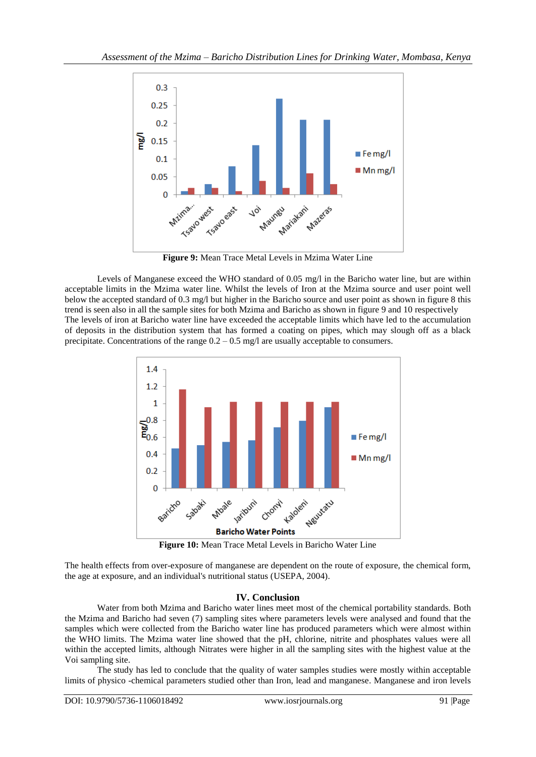

**Figure 9:** Mean Trace Metal Levels in Mzima Water Line

Levels of Manganese exceed the WHO standard of 0.05 mg/l in the Baricho water line, but are within acceptable limits in the Mzima water line. Whilst the levels of Iron at the Mzima source and user point well below the accepted standard of 0.3 mg/l but higher in the Baricho source and user point as shown in figure 8 this trend is seen also in all the sample sites for both Mzima and Baricho as shown in figure 9 and 10 respectively The levels of iron at Baricho water line have exceeded the acceptable limits which have led to the accumulation of deposits in the distribution system that has formed a coating on pipes, which may slough off as a black precipitate. Concentrations of the range  $0.2 - 0.5$  mg/l are usually acceptable to consumers.



**Figure 10:** Mean Trace Metal Levels in Baricho Water Line

The health effects from over-exposure of manganese are dependent on the route of exposure, the chemical form, the age at exposure, and an individual's nutritional status (USEPA, 2004).

# **IV. Conclusion**

Water from both Mzima and Baricho water lines meet most of the chemical portability standards. Both the Mzima and Baricho had seven (7) sampling sites where parameters levels were analysed and found that the samples which were collected from the Baricho water line has produced parameters which were almost within the WHO limits. The Mzima water line showed that the pH, chlorine, nitrite and phosphates values were all within the accepted limits, although Nitrates were higher in all the sampling sites with the highest value at the Voi sampling site.

The study has led to conclude that the quality of water samples studies were mostly within acceptable limits of physico -chemical parameters studied other than Iron, lead and manganese. Manganese and iron levels